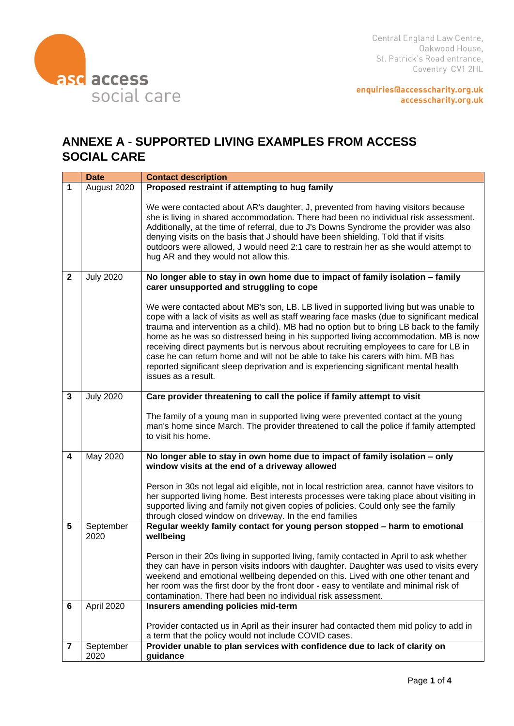

enquiries@accesscharity.org.uk accesscharity.org.uk

## **ANNEXE A - SUPPORTED LIVING EXAMPLES FROM ACCESS SOCIAL CARE**

|                         | <b>Date</b>       | <b>Contact description</b>                                                                                                                                                                                                                                                                                                                                                                                                                                                                                                                                                                                                                                        |
|-------------------------|-------------------|-------------------------------------------------------------------------------------------------------------------------------------------------------------------------------------------------------------------------------------------------------------------------------------------------------------------------------------------------------------------------------------------------------------------------------------------------------------------------------------------------------------------------------------------------------------------------------------------------------------------------------------------------------------------|
| 1                       | August 2020       | Proposed restraint if attempting to hug family                                                                                                                                                                                                                                                                                                                                                                                                                                                                                                                                                                                                                    |
|                         |                   | We were contacted about AR's daughter, J, prevented from having visitors because<br>she is living in shared accommodation. There had been no individual risk assessment.<br>Additionally, at the time of referral, due to J's Downs Syndrome the provider was also<br>denying visits on the basis that J should have been shielding. Told that if visits<br>outdoors were allowed, J would need 2:1 care to restrain her as she would attempt to<br>hug AR and they would not allow this.                                                                                                                                                                         |
| $\mathbf{2}$            | <b>July 2020</b>  | No longer able to stay in own home due to impact of family isolation - family<br>carer unsupported and struggling to cope                                                                                                                                                                                                                                                                                                                                                                                                                                                                                                                                         |
|                         |                   | We were contacted about MB's son, LB. LB lived in supported living but was unable to<br>cope with a lack of visits as well as staff wearing face masks (due to significant medical<br>trauma and intervention as a child). MB had no option but to bring LB back to the family<br>home as he was so distressed being in his supported living accommodation. MB is now<br>receiving direct payments but is nervous about recruiting employees to care for LB in<br>case he can return home and will not be able to take his carers with him. MB has<br>reported significant sleep deprivation and is experiencing significant mental health<br>issues as a result. |
| $\mathbf{3}$            | <b>July 2020</b>  | Care provider threatening to call the police if family attempt to visit                                                                                                                                                                                                                                                                                                                                                                                                                                                                                                                                                                                           |
|                         |                   | The family of a young man in supported living were prevented contact at the young<br>man's home since March. The provider threatened to call the police if family attempted<br>to visit his home.                                                                                                                                                                                                                                                                                                                                                                                                                                                                 |
| $\overline{\mathbf{4}}$ | May 2020          | No longer able to stay in own home due to impact of family isolation - only<br>window visits at the end of a driveway allowed                                                                                                                                                                                                                                                                                                                                                                                                                                                                                                                                     |
|                         |                   | Person in 30s not legal aid eligible, not in local restriction area, cannot have visitors to<br>her supported living home. Best interests processes were taking place about visiting in<br>supported living and family not given copies of policies. Could only see the family<br>through closed window on driveway. In the end families                                                                                                                                                                                                                                                                                                                          |
| 5                       | September<br>2020 | Regular weekly family contact for young person stopped - harm to emotional<br>wellbeing                                                                                                                                                                                                                                                                                                                                                                                                                                                                                                                                                                           |
|                         |                   | Person in their 20s living in supported living, family contacted in April to ask whether<br>they can have in person visits indoors with daughter. Daughter was used to visits every<br>weekend and emotional wellbeing depended on this. Lived with one other tenant and<br>her room was the first door by the front door - easy to ventilate and minimal risk of<br>contamination. There had been no individual risk assessment.                                                                                                                                                                                                                                 |
| 6                       | April 2020        | Insurers amending policies mid-term                                                                                                                                                                                                                                                                                                                                                                                                                                                                                                                                                                                                                               |
|                         |                   | Provider contacted us in April as their insurer had contacted them mid policy to add in<br>a term that the policy would not include COVID cases.                                                                                                                                                                                                                                                                                                                                                                                                                                                                                                                  |
| 7                       | September<br>2020 | Provider unable to plan services with confidence due to lack of clarity on<br>guidance                                                                                                                                                                                                                                                                                                                                                                                                                                                                                                                                                                            |
|                         |                   |                                                                                                                                                                                                                                                                                                                                                                                                                                                                                                                                                                                                                                                                   |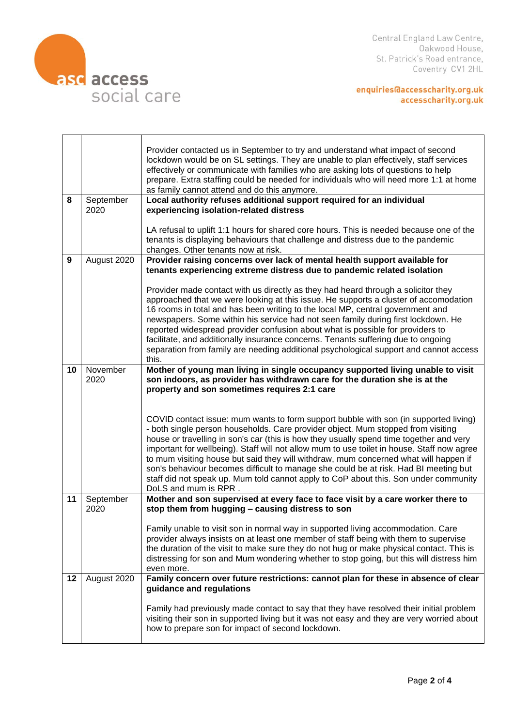

Central England Law Centre, Oakwood House, St. Patrick's Road entrance, Coventry CV1 2HL

enquiries@accesscharity.org.uk<br>accesscharity.org.uk

|    |                   | Provider contacted us in September to try and understand what impact of second<br>lockdown would be on SL settings. They are unable to plan effectively, staff services<br>effectively or communicate with families who are asking lots of questions to help<br>prepare. Extra staffing could be needed for individuals who will need more 1:1 at home<br>as family cannot attend and do this anymore.                                                                                                                                                                                                                                                            |
|----|-------------------|-------------------------------------------------------------------------------------------------------------------------------------------------------------------------------------------------------------------------------------------------------------------------------------------------------------------------------------------------------------------------------------------------------------------------------------------------------------------------------------------------------------------------------------------------------------------------------------------------------------------------------------------------------------------|
| 8  | September<br>2020 | Local authority refuses additional support required for an individual<br>experiencing isolation-related distress                                                                                                                                                                                                                                                                                                                                                                                                                                                                                                                                                  |
|    |                   |                                                                                                                                                                                                                                                                                                                                                                                                                                                                                                                                                                                                                                                                   |
|    |                   | LA refusal to uplift 1:1 hours for shared core hours. This is needed because one of the<br>tenants is displaying behaviours that challenge and distress due to the pandemic                                                                                                                                                                                                                                                                                                                                                                                                                                                                                       |
|    |                   | changes. Other tenants now at risk.                                                                                                                                                                                                                                                                                                                                                                                                                                                                                                                                                                                                                               |
| 9  | August 2020       | Provider raising concerns over lack of mental health support available for<br>tenants experiencing extreme distress due to pandemic related isolation                                                                                                                                                                                                                                                                                                                                                                                                                                                                                                             |
|    |                   | Provider made contact with us directly as they had heard through a solicitor they<br>approached that we were looking at this issue. He supports a cluster of accomodation<br>16 rooms in total and has been writing to the local MP, central government and<br>newspapers. Some within his service had not seen family during first lockdown. He<br>reported widespread provider confusion about what is possible for providers to<br>facilitate, and additionally insurance concerns. Tenants suffering due to ongoing<br>separation from family are needing additional psychological support and cannot access<br>this.                                         |
| 10 | November<br>2020  | Mother of young man living in single occupancy supported living unable to visit<br>son indoors, as provider has withdrawn care for the duration she is at the<br>property and son sometimes requires 2:1 care                                                                                                                                                                                                                                                                                                                                                                                                                                                     |
|    |                   | COVID contact issue: mum wants to form support bubble with son (in supported living)<br>- both single person households. Care provider object. Mum stopped from visiting<br>house or travelling in son's car (this is how they usually spend time together and very<br>important for wellbeing). Staff will not allow mum to use toilet in house. Staff now agree<br>to mum visiting house but said they will withdraw, mum concerned what will happen if<br>son's behaviour becomes difficult to manage she could be at risk. Had BI meeting but<br>staff did not speak up. Mum told cannot apply to CoP about this. Son under community<br>DoLS and mum is RPR. |
| 11 | September<br>2020 | Mother and son supervised at every face to face visit by a care worker there to<br>stop them from hugging - causing distress to son                                                                                                                                                                                                                                                                                                                                                                                                                                                                                                                               |
|    |                   | Family unable to visit son in normal way in supported living accommodation. Care<br>provider always insists on at least one member of staff being with them to supervise<br>the duration of the visit to make sure they do not hug or make physical contact. This is<br>distressing for son and Mum wondering whether to stop going, but this will distress him<br>even more.                                                                                                                                                                                                                                                                                     |
| 12 | August 2020       | Family concern over future restrictions: cannot plan for these in absence of clear<br>guidance and regulations                                                                                                                                                                                                                                                                                                                                                                                                                                                                                                                                                    |
|    |                   | Family had previously made contact to say that they have resolved their initial problem<br>visiting their son in supported living but it was not easy and they are very worried about<br>how to prepare son for impact of second lockdown.                                                                                                                                                                                                                                                                                                                                                                                                                        |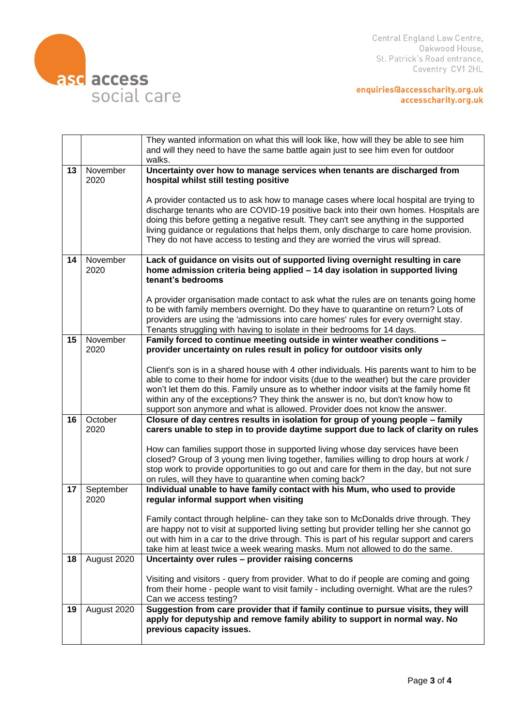

enquiries@accesscharity.org.uk<br>accesscharity.org.uk

|    |             | They wanted information on what this will look like, how will they be able to see him<br>and will they need to have the same battle again just to see him even for outdoor<br>walks. |
|----|-------------|--------------------------------------------------------------------------------------------------------------------------------------------------------------------------------------|
| 13 | November    | Uncertainty over how to manage services when tenants are discharged from                                                                                                             |
|    | 2020        | hospital whilst still testing positive                                                                                                                                               |
|    |             | A provider contacted us to ask how to manage cases where local hospital are trying to                                                                                                |
|    |             | discharge tenants who are COVID-19 positive back into their own homes. Hospitals are                                                                                                 |
|    |             | doing this before getting a negative result. They can't see anything in the supported                                                                                                |
|    |             | living guidance or regulations that helps them, only discharge to care home provision.<br>They do not have access to testing and they are worried the virus will spread.             |
|    |             |                                                                                                                                                                                      |
| 14 | November    | Lack of guidance on visits out of supported living overnight resulting in care                                                                                                       |
|    | 2020        | home admission criteria being applied - 14 day isolation in supported living                                                                                                         |
|    |             | tenant's bedrooms                                                                                                                                                                    |
|    |             | A provider organisation made contact to ask what the rules are on tenants going home                                                                                                 |
|    |             | to be with family members overnight. Do they have to quarantine on return? Lots of                                                                                                   |
|    |             | providers are using the 'admissions into care homes' rules for every overnight stay.                                                                                                 |
| 15 | November    | Tenants struggling with having to isolate in their bedrooms for 14 days.<br>Family forced to continue meeting outside in winter weather conditions -                                 |
|    | 2020        | provider uncertainty on rules result in policy for outdoor visits only                                                                                                               |
|    |             |                                                                                                                                                                                      |
|    |             | Client's son is in a shared house with 4 other individuals. His parents want to him to be                                                                                            |
|    |             | able to come to their home for indoor visits (due to the weather) but the care provider<br>won't let them do this. Family unsure as to whether indoor visits at the family home fit  |
|    |             | within any of the exceptions? They think the answer is no, but don't know how to                                                                                                     |
|    |             | support son anymore and what is allowed. Provider does not know the answer.                                                                                                          |
| 16 | October     | Closure of day centres results in isolation for group of young people - family                                                                                                       |
|    | 2020        | carers unable to step in to provide daytime support due to lack of clarity on rules                                                                                                  |
|    |             | How can families support those in supported living whose day services have been                                                                                                      |
|    |             | closed? Group of 3 young men living together, families willing to drop hours at work /                                                                                               |
|    |             | stop work to provide opportunities to go out and care for them in the day, but not sure                                                                                              |
| 17 | September   | on rules, will they have to quarantine when coming back?<br>Individual unable to have family contact with his Mum, who used to provide                                               |
|    | 2020        | regular informal support when visiting                                                                                                                                               |
|    |             |                                                                                                                                                                                      |
|    |             | Family contact through helpline- can they take son to McDonalds drive through. They                                                                                                  |
|    |             | are happy not to visit at supported living setting but provider telling her she cannot go                                                                                            |
|    |             | out with him in a car to the drive through. This is part of his regular support and carers<br>take him at least twice a week wearing masks. Mum not allowed to do the same.          |
| 18 | August 2020 | Uncertainty over rules - provider raising concerns                                                                                                                                   |
|    |             |                                                                                                                                                                                      |
|    |             | Visiting and visitors - query from provider. What to do if people are coming and going                                                                                               |
|    |             | from their home - people want to visit family - including overnight. What are the rules?                                                                                             |
| 19 | August 2020 | Can we access testing?<br>Suggestion from care provider that if family continue to pursue visits, they will                                                                          |
|    |             | apply for deputyship and remove family ability to support in normal way. No                                                                                                          |
|    |             | previous capacity issues.                                                                                                                                                            |
|    |             |                                                                                                                                                                                      |